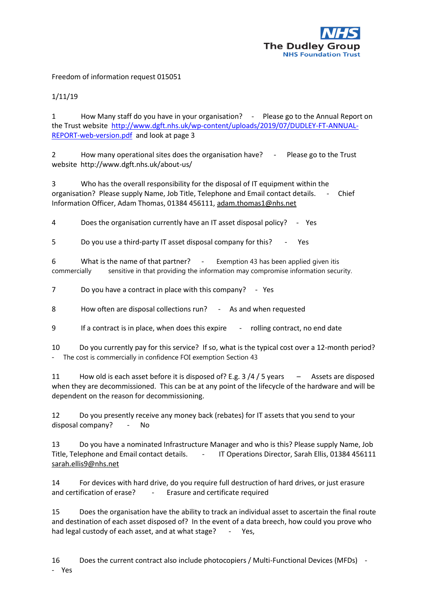

Freedom of information request 015051

1/11/19

1 How Many staff do you have in your organisation? - Please go to the Annual Report on the Trust website [http://www.dgft.nhs.uk/wp-content/uploads/2019/07/DUDLEY-FT-ANNUAL-](http://www.dgft.nhs.uk/wp-content/uploads/2019/07/DUDLEY-FT-ANNUAL-REPORT-web-version.pdf)[REPORT-web-version.pdf](http://www.dgft.nhs.uk/wp-content/uploads/2019/07/DUDLEY-FT-ANNUAL-REPORT-web-version.pdf) and look at page 3

2 How many operational sites does the organisation have? - Please go to the Trust website http://www.dgft.nhs.uk/about-us/

3 Who has the overall responsibility for the disposal of IT equipment within the organisation? Please supply Name, Job Title, Telephone and Email contact details. - Chief Information Officer, Adam Thomas, 01384 456111, [adam.thomas1@nhs.net](mailto:adam.thomas1@nhs.net)

4 Does the organisation currently have an IT asset disposal policy? - Yes

5 Do you use a third-party IT asset disposal company for this? - Yes

6 What is the name of that partner? - Exemption 43 has been applied given itis commercially sensitive in that providing the information may compromise information security.

7 Do you have a contract in place with this company? - Yes

8 How often are disposal collections run? - As and when requested

9 If a contract is in place, when does this expire - rolling contract, no end date

10 Do you currently pay for this service? If so, what is the typical cost over a 12-month period? - The cost is commercially in confidence FOI exemption Section 43

11 How old is each asset before it is disposed of? E.g. 3 /4 / 5 years - Assets are disposed when they are decommissioned. This can be at any point of the lifecycle of the hardware and will be dependent on the reason for decommissioning.

12 Do you presently receive any money back (rebates) for IT assets that you send to your disposal company? - No

13 Do you have a nominated Infrastructure Manager and who is this? Please supply Name, Job Title, Telephone and Email contact details. - IT Operations Director, Sarah Ellis, 01384 456111 [sarah.ellis9@nhs.net](mailto:sarah.ellis9@nhs.net)

14 For devices with hard drive, do you require full destruction of hard drives, or just erasure and certification of erase? - Erasure and certificate required

15 Does the organisation have the ability to track an individual asset to ascertain the final route and destination of each asset disposed of? In the event of a data breech, how could you prove who had legal custody of each asset, and at what stage? - Yes,

16 Does the current contract also include photocopiers / Multi-Functional Devices (MFDs) -

- Yes